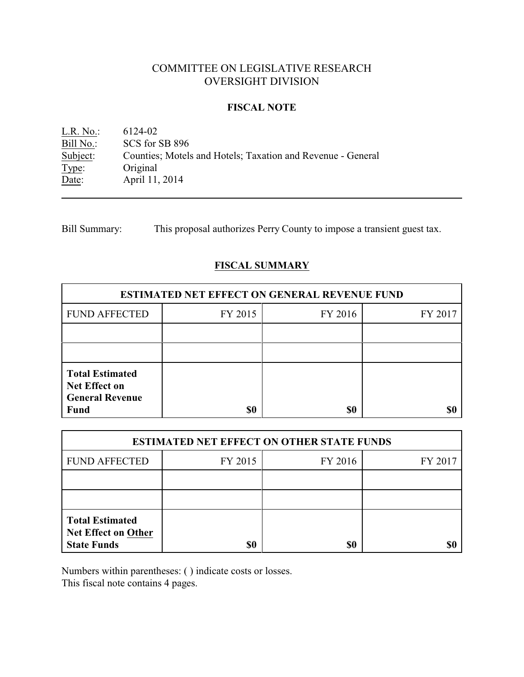# COMMITTEE ON LEGISLATIVE RESEARCH OVERSIGHT DIVISION

## **FISCAL NOTE**

L.R. No.: 6124-02<br>Bill No.: SCS for : Bill No.: SCS for SB 896<br>Subject: Counties; Motels Counties; Motels and Hotels; Taxation and Revenue - General Type: Original Date: April 11, 2014

Bill Summary: This proposal authorizes Perry County to impose a transient guest tax.

# **FISCAL SUMMARY**

| <b>ESTIMATED NET EFFECT ON GENERAL REVENUE FUND</b>                                     |         |         |         |  |
|-----------------------------------------------------------------------------------------|---------|---------|---------|--|
| <b>FUND AFFECTED</b>                                                                    | FY 2015 | FY 2016 | FY 2017 |  |
|                                                                                         |         |         |         |  |
|                                                                                         |         |         |         |  |
| <b>Total Estimated</b><br><b>Net Effect on</b><br><b>General Revenue</b><br><b>Fund</b> | \$0     | \$0     |         |  |

| <b>ESTIMATED NET EFFECT ON OTHER STATE FUNDS</b>                           |         |         |         |  |
|----------------------------------------------------------------------------|---------|---------|---------|--|
| <b>FUND AFFECTED</b>                                                       | FY 2015 | FY 2016 | FY 2017 |  |
|                                                                            |         |         |         |  |
|                                                                            |         |         |         |  |
| <b>Total Estimated</b><br><b>Net Effect on Other</b><br><b>State Funds</b> | \$0     | \$0     |         |  |

Numbers within parentheses: ( ) indicate costs or losses.

This fiscal note contains 4 pages.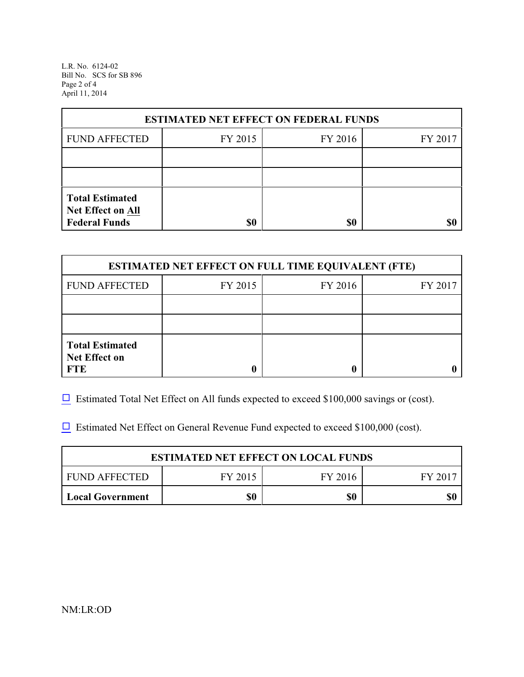L.R. No. 6124-02 Bill No. SCS for SB 896 Page 2 of 4 April 11, 2014

| <b>ESTIMATED NET EFFECT ON FEDERAL FUNDS</b>                        |         |         |         |  |
|---------------------------------------------------------------------|---------|---------|---------|--|
| <b>FUND AFFECTED</b>                                                | FY 2015 | FY 2016 | FY 2017 |  |
|                                                                     |         |         |         |  |
|                                                                     |         |         |         |  |
| <b>Total Estimated</b><br>Net Effect on All<br><b>Federal Funds</b> | \$0     | \$0     |         |  |

| <b>ESTIMATED NET EFFECT ON FULL TIME EQUIVALENT (FTE)</b>    |         |         |         |  |
|--------------------------------------------------------------|---------|---------|---------|--|
| <b>FUND AFFECTED</b>                                         | FY 2015 | FY 2016 | FY 2017 |  |
|                                                              |         |         |         |  |
|                                                              |         |         |         |  |
| <b>Total Estimated</b><br><b>Net Effect on</b><br><b>FTE</b> |         |         |         |  |

 $\Box$  Estimated Total Net Effect on All funds expected to exceed \$100,000 savings or (cost).

 $\Box$  Estimated Net Effect on General Revenue Fund expected to exceed \$100,000 (cost).

| <b>ESTIMATED NET EFFECT ON LOCAL FUNDS</b> |         |         |       |  |
|--------------------------------------------|---------|---------|-------|--|
| FUND AFFECTED                              | FY 2015 | FY 2016 | FY 20 |  |
| Local Government                           | \$0     | \$0     | \$0   |  |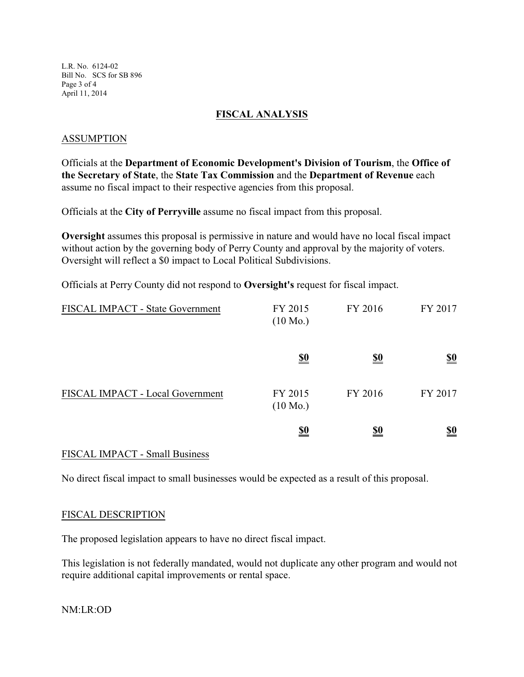L.R. No. 6124-02 Bill No. SCS for SB 896 Page 3 of 4 April 11, 2014

## **FISCAL ANALYSIS**

## ASSUMPTION

Officials at the **Department of Economic Development's Division of Tourism**, the **Office of the Secretary of State**, the **State Tax Commission** and the **Department of Revenue** each assume no fiscal impact to their respective agencies from this proposal.

Officials at the **City of Perryville** assume no fiscal impact from this proposal.

**Oversight** assumes this proposal is permissive in nature and would have no local fiscal impact without action by the governing body of Perry County and approval by the majority of voters. Oversight will reflect a \$0 impact to Local Political Subdivisions.

Officials at Perry County did not respond to **Oversight's** request for fiscal impact.

| FISCAL IMPACT - State Government | FY 2015<br>$(10 \text{ Mo.})$ | FY 2016    | FY 2017                       |
|----------------------------------|-------------------------------|------------|-------------------------------|
|                                  | <u>\$0</u>                    | <u>\$0</u> | $\underline{\underline{\$0}}$ |
| FISCAL IMPACT - Local Government | FY 2015<br>$(10 \text{ Mo.})$ | FY 2016    | FY 2017                       |
|                                  | <u>\$0</u>                    | <u>\$0</u> | <u>\$0</u>                    |

#### FISCAL IMPACT - Small Business

No direct fiscal impact to small businesses would be expected as a result of this proposal.

#### FISCAL DESCRIPTION

The proposed legislation appears to have no direct fiscal impact.

This legislation is not federally mandated, would not duplicate any other program and would not require additional capital improvements or rental space.

NM:LR:OD